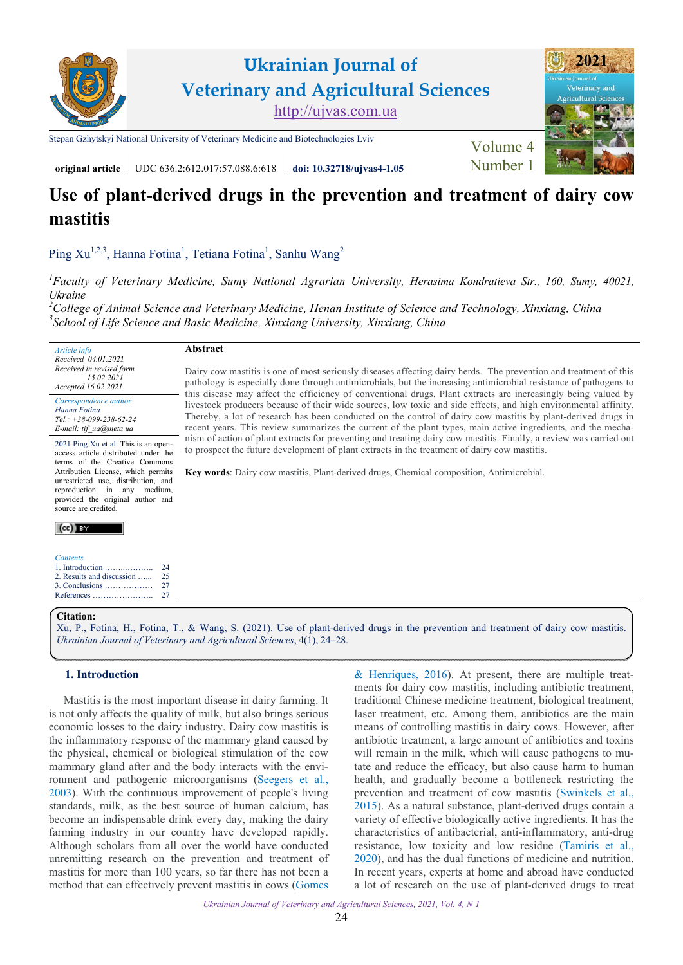

**Ukrainian Journal of Veterinary and Agricultural Sciences** <http://ujvas.com.ua>

[Stepan Gzhytskyi National University of Veterinary Medicine and Biotechnologies Lviv](https://lvet.edu.ua) Volume 4



**original article** UDC 636.2:612.017:57.088.6:618 **[doi: 10.32718/ujvas4-1.05](https://doi.org/10.32718/ujvas4-1.05)** [Number 1](https://ujvas.com.ua/index.php/journal/issue/view/9)

# **Use of plant-derived drugs in the prevention and treatment of dairy cow mastitis**

[Ping Xu](https://orcid.org/0000-0001-6099-1748)<sup>1,2,3</sup>, [Hanna Fotina](https://orcid.org/0000-0002-0761-3681)<sup>1</sup>, [Tetiana Fotina](https://orcid.org/0000-0001-5079-2390)<sup>1</sup>, [Sanhu Wang](https://orcid.org/0000-0002-1300-3185)<sup>2</sup>

**Abstract** 

<sup>1</sup> [Faculty of Veterinary Medicine, Sumy National Agrarian University,](https://snau.edu.ua) Herasima Kondratieva Str., 160, Sumy, 40021, *Ukraine*

> to prospect the future development of plant extracts in the treatment of dairy cow mastitis. **Key words**: Dairy cow mastitis, Plant-derived drugs, Chemical composition, Antimicrobial.

Dairy cow mastitis is one of most seriously diseases affecting dairy herds. The prevention and treatment of this pathology is especially done through antimicrobials, but the increasing antimicrobial resistance of pathogens to this disease may affect the efficiency of conventional drugs. Plant extracts are increasingly being valued by livestock producers because of their wide sources, low toxic and side effects, and high environmental affinity. Thereby, a lot of research has been conducted on the control of dairy cow mastitis by plant-derived drugs in recent years. This review summarizes the current of the plant types, main active ingredients, and the mechanism of action of plant extracts for preventing and treating dairy cow mastitis. Finally, a review was carried out

*<sup>2</sup>[College of Animal Science and Veterinary Medicine, Henan Institute of Science and Technology, Xinxiang, China](http://english.hist.edu.cn)  3 [School of Life Science and Basic Medicine, Xinxiang University, Xinxiang, China](https://www.researchgate.net/institution/Xinxiang-University)* 

*Article info Received 04.01.2021 Received in revised form 15.02.2021 Accepted 16.02.2021* 

*Correspondence author [Hanna Fotina](https://scholar.google.com.ua/citations?hl=uk&user=A1HB8o4AAAAJ&view_op=list_works&sortby=pubdate) Tel.: +38-099-238-62-24 E-mail: tif\_ua@meta.ua*

2021 Ping Xu et al. This is an openaccess article distributed under the terms of the Creative Commons Attribution License, which permits unrestricted use, distribution, and reproduction in any medium provided the original author and source are credited.

# $(cc)$  and

| <b>Contents</b>               |    |
|-------------------------------|----|
|                               | 24 |
| 2. Results and discussion  25 |    |
|                               |    |
|                               |    |

#### **Citation:**

[Xu, P., Fotina, H., Fotina, T., & Wang, S. \(2021\). Use of plant-derived drugs in the prevention and treatment of dairy cow mastitis.](https://doi.org/10.32718/ujvas4-1.05) *Ukrainian Journal of Veterinary and Agricultural Sciences*, 4(1), 24–28.

# **1. Introduction**

Mastitis is the most important disease in dairy farming. It is not only affects the quality of milk, but also brings serious economic losses to the dairy industry. Dairy cow mastitis is the inflammatory response of the mammary gland caused by the physical, chemical or biological stimulation of the cow mammary gland after and the body interacts with the environment and pathogenic microorganisms ([Seegers et al.,](#page-4-0) [2003\)](#page-4-0). With the continuous improvement of people's living standards, milk, as the best source of human calcium, has become an indispensable drink every day, making the dairy farming industry in our country have developed rapidly. Although scholars from all over the world have conducted unremitting research on the prevention and treatment of mastitis for more than 100 years, so far there has not been a method that can effectively prevent mastitis in cows ([Gomes](#page-3-0)

[& Henriques, 2016](#page-3-0)). At present, there are multiple treatments for dairy cow mastitis, including antibiotic treatment, traditional Chinese medicine treatment, biological treatment, laser treatment, etc. Among them, antibiotics are the main means of controlling mastitis in dairy cows. However, after antibiotic treatment, a large amount of antibiotics and toxins will remain in the milk, which will cause pathogens to mutate and reduce the efficacy, but also cause harm to human health, and gradually become a bottleneck restricting the prevention and treatment of cow mastitis [\(Swinkels et al.,](#page-4-0) [2015](#page-4-0)). As a natural substance, plant-derived drugs contain a variety of effective biologically active ingredients. It has the characteristics of antibacterial, anti-inflammatory, anti-drug resistance, low toxicity and low residue [\(Tamiris et al.,](#page-4-0) [2020](#page-4-0)), and has the dual functions of medicine and nutrition. In recent years, experts at home and abroad have conducted a lot of research on the use of plant-derived drugs to treat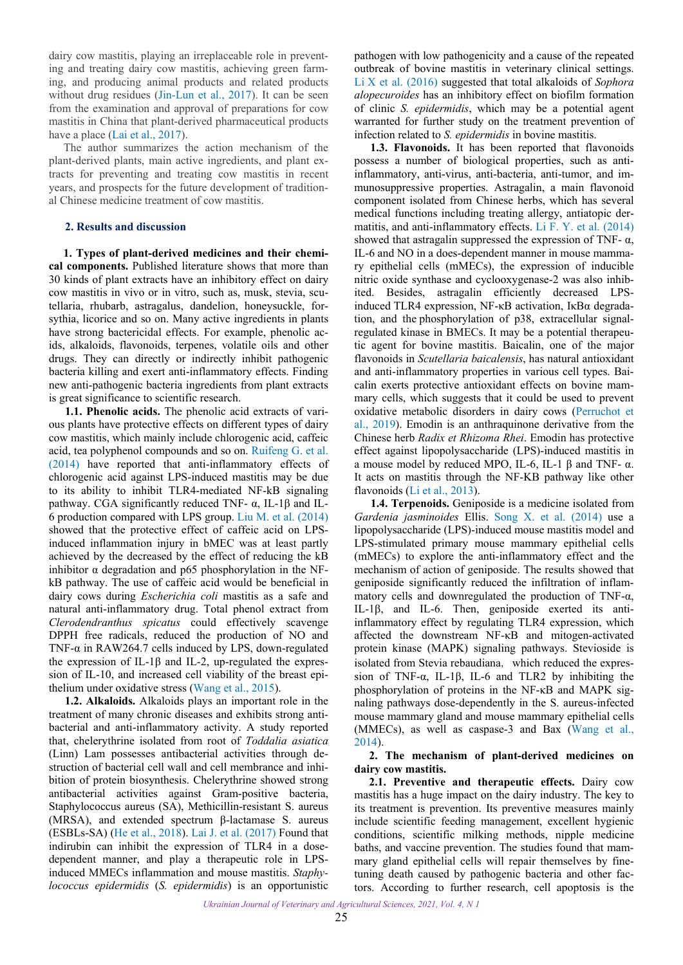<span id="page-1-0"></span>dairy cow mastitis, playing an irreplaceable role in preventing and treating dairy cow mastitis, achieving green farming, and producing animal products and related products without drug residues [\(Jin-Lun et al., 2017](#page-3-0)). It can be seen from the examination and approval of preparations for cow mastitis in China that plant-derived pharmaceutical products have a place ([Lai et al., 2017](#page-3-0)).

The author summarizes the action mechanism of the plant-derived plants, main active ingredients, and plant extracts for preventing and treating cow mastitis in recent years, and prospects for the future development of traditional Chinese medicine treatment of cow mastitis.

## **2. Results and discussion**

**1. Types of plant-derived medicines and their chemical components.** Published literature shows that more than 30 kinds of plant extracts have an inhibitory effect on dairy cow mastitis in vivo or in vitro, such as, musk, stevia, scutellaria, rhubarb, astragalus, dandelion, honeysuckle, forsythia, licorice and so on. Many active ingredients in plants have strong bactericidal effects. For example, phenolic acids, alkaloids, flavonoids, terpenes, volatile oils and other drugs. They can directly or indirectly inhibit pathogenic bacteria killing and exert anti-inflammatory effects. Finding new anti-pathogenic bacteria ingredients from plant extracts is great significance to scientific research.

**1.1. Phenolic acids.** The phenolic acid extracts of various plants have protective effects on different types of dairy cow mastitis, which mainly include chlorogenic acid, caffeic acid, tea polyphenol compounds and so on. [Ruifeng G. et al.](#page-3-0) [\(2014\)](#page-3-0) have reported that anti-inflammatory effects of chlorogenic acid against LPS-induced mastitis may be due to its ability to inhibit TLR4-mediated NF-kB signaling pathway. CGA significantly reduced TNF- α, IL-1β and IL-6 production compared with LPS group. [Liu M. et al. \(2014\)](#page-3-0) showed that the protective effect of caffeic acid on LPSinduced inflammation injury in bMEC was at least partly achieved by the decreased by the effect of reducing the kB inhibitor  $\alpha$  degradation and p65 phosphorylation in the NFkB pathway. The use of caffeic acid would be beneficial in dairy cows during *Escherichia coli* mastitis as a safe and natural anti-inflammatory drug. Total phenol extract from *Clerodendranthus spicatus* could effectively scavenge DPPH free radicals, reduced the production of NO and TNF- $\alpha$  in RAW264.7 cells induced by LPS, down-regulated the expression of IL-1β and IL-2, up-regulated the expression of IL-10, and increased cell viability of the breast epithelium under oxidative stress ([Wang et al., 2015](#page-4-0)).

**1.2. Alkaloids.** Alkaloids plays an important role in the treatment of many chronic diseases and exhibits strong antibacterial and anti-inflammatory activity. A study reported that, chelerythrine isolated from root of *Toddalia asiatica* (Linn) Lam possesses antibacterial activities through destruction of bacterial cell wall and cell membrance and inhibition of protein biosynthesis. Chelerythrine showed strong antibacterial activities against Gram-positive bacteria, Staphylococcus aureus (SA), Methicillin-resistant S. aureus (MRSA), and extended spectrum β-lactamase S. aureus (ESBLs-SA) ([He et al., 2018](#page-3-0)). [Lai J. et al. \(2017\)](#page-3-0) Found that indirubin can inhibit the expression of TLR4 in a dosedependent manner, and play a therapeutic role in LPSinduced MMECs inflammation and mouse mastitis. *Staphylococcus epidermidis* (*S. epidermidis*) is an opportunistic

pathogen with low pathogenicity and a cause of the repeated outbreak of bovine mastitis in veterinary clinical settings. [Li X et al. \(2016\)](#page-3-0) suggested that total alkaloids of *Sophora alopecuroides* has an inhibitory effect on biofilm formation of clinic *S. epidermidis*, which may be a potential agent warranted for further study on the treatment prevention of infection related to *S. epidermidis* in bovine mastitis.

**1.3. Flavonoids.** It has been reported that flavonoids possess a number of biological properties, such as antiinflammatory, anti-virus, anti-bacteria, anti-tumor, and immunosuppressive properties. Astragalin, a main flavonoid component isolated from Chinese herbs, which has several medical functions including treating allergy, antiatopic dermatitis, and anti-inflammatory effects. [Li F. Y. et al. \(2014\)](#page-3-0) showed that astragalin suppressed the expression of TNF- $\alpha$ , IL-6 and NO in a does-dependent manner in mouse mammary epithelial cells (mMECs), the expression of inducible nitric oxide synthase and cyclooxygenase-2 was also inhibited. Besides, astragalin efficiently decreased LPSinduced TLR4 expression, NF-κB activation, IκBα degradation, and the phosphorylation of p38, extracellular signalregulated kinase in BMECs. It may be a potential therapeutic agent for bovine mastitis. Baicalin, one of the major flavonoids in *Scutellaria baicalensis*, has natural antioxidant and anti-inflammatory properties in various cell types. Baicalin exerts protective antioxidant effects on bovine mammary cells, which suggests that it could be used to prevent oxidative metabolic disorders in dairy cows [\(Perruchot et](#page-3-0)  [al., 2019\)](#page-3-0). Emodin is an anthraquinone derivative from the Chinese herb *Radix et Rhizoma Rhei*. Emodin has protective effect against lipopolysaccharide (LPS)-induced mastitis in a mouse model by reduced MPO, IL-6, IL-1 β and TNF- α. It acts on mastitis through the NF-KB pathway like other flavonoids [\(Li et al., 2013\)](#page-3-0).

**1.4. Terpenoids.** Geniposide is a medicine isolated from *Gardenia jasminoides* Ellis. [Song X. et al. \(2014\)](#page-4-0) use a lipopolysaccharide (LPS)-induced mouse mastitis model and LPS-stimulated primary mouse mammary epithelial cells (mMECs) to explore the anti-inflammatory effect and the mechanism of action of geniposide. The results showed that geniposide significantly reduced the infiltration of inflammatory cells and downregulated the production of TNF- $\alpha$ , IL-1β, and IL-6. Then, geniposide exerted its antiinflammatory effect by regulating TLR4 expression, which affected the downstream NF-κB and mitogen-activated protein kinase (MAPK) signaling pathways. Stevioside is isolated from Stevia rebaudiana, which reduced the expression of TNF- $\alpha$ , IL-1 $\beta$ , IL-6 and TLR2 by inhibiting the phosphorylation of proteins in the NF-κB and MAPK signaling pathways dose-dependently in the S. aureus-infected mouse mammary gland and mouse mammary epithelial cells (MMECs), as well as caspase-3 and Bax [\(Wang et al.,](#page-4-0)  [2014](#page-4-0)).

## **2. The mechanism of plant-derived medicines on dairy cow mastitis.**

**2.1. Preventive and therapeutic effects.** Dairy cow mastitis has a huge impact on the dairy industry. The key to its treatment is prevention. Its preventive measures mainly include scientific feeding management, excellent hygienic conditions, scientific milking methods, nipple medicine baths, and vaccine prevention. The studies found that mammary gland epithelial cells will repair themselves by finetuning death caused by pathogenic bacteria and other factors. According to further research, cell apoptosis is the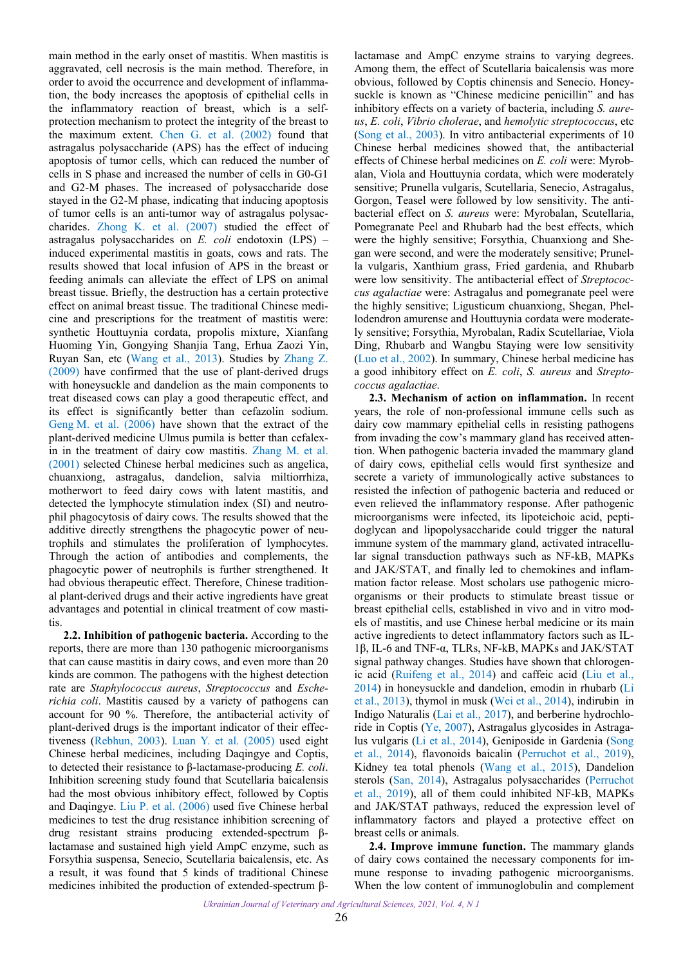<span id="page-2-0"></span>main method in the early onset of mastitis. When mastitis is aggravated, cell necrosis is the main method. Therefore, in order to avoid the occurrence and development of inflammation, the body increases the apoptosis of epithelial cells in the inflammatory reaction of breast, which is a selfprotection mechanism to protect the integrity of the breast to the maximum extent. [Chen G. et al. \(2002\)](#page-3-0) found that astragalus polysaccharide (APS) has the effect of inducing apoptosis of tumor cells, which can reduced the number of cells in S phase and increased the number of cells in G0-G1 and G2-M phases. The increased of polysaccharide dose stayed in the G2-M phase, indicating that inducing apoptosis of tumor cells is an anti-tumor way of astragalus polysaccharides. [Zhong K. et al. \(2007\)](#page-4-0) studied the effect of astragalus polysaccharides on *E. coli* endotoxin (LPS) – induced experimental mastitis in goats, cows and rats. The results showed that local infusion of APS in the breast or feeding animals can alleviate the effect of LPS on animal breast tissue. Briefly, the destruction has a certain protective effect on animal breast tissue. The traditional Chinese medicine and prescriptions for the treatment of mastitis were: synthetic Houttuynia cordata, propolis mixture, Xianfang Huoming Yin, Gongying Shanjia Tang, Erhua Zaozi Yin, Ruyan San, etc ([Wang et al., 2013\)](#page-4-0). Studies by [Zhang Z.](#page-4-0) [\(2009\)](#page-4-0) have confirmed that the use of plant-derived drugs with honeysuckle and dandelion as the main components to treat diseased cows can play a good therapeutic effect, and its effect is significantly better than cefazolin sodium. [Geng M. et al. \(2006\)](#page-3-0) have shown that the extract of the plant-derived medicine Ulmus pumila is better than cefalexin in the treatment of dairy cow mastitis. [Zhang M. et al.](#page-4-0) [\(2001\) s](#page-4-0)elected Chinese herbal medicines such as angelica, chuanxiong, astragalus, dandelion, salvia miltiorrhiza, motherwort to feed dairy cows with latent mastitis, and detected the lymphocyte stimulation index (SI) and neutrophil phagocytosis of dairy cows. The results showed that the additive directly strengthens the phagocytic power of neutrophils and stimulates the proliferation of lymphocytes. Through the action of antibodies and complements, the phagocytic power of neutrophils is further strengthened. It had obvious therapeutic effect. Therefore, Chinese traditional plant-derived drugs and their active ingredients have great advantages and potential in clinical treatment of cow mastitis.

**2.2. Inhibition of pathogenic bacteria.** According to the reports, there are more than 130 pathogenic microorganisms that can cause mastitis in dairy cows, and even more than 20 kinds are common. The pathogens with the highest detection rate are *Staphylococcus aureus*, *Streptococcus* and *Escherichia coli*. Mastitis caused by a variety of pathogens can account for 90 %. Therefore, the antibacterial activity of plant-derived drugs is the important indicator of their effectiveness [\(Rebhun, 2003](#page-4-0)). [Luan Y. et al. \(2005\)](#page-3-0) used eight Chinese herbal medicines, including Daqingye and Coptis, to detected their resistance to β-lactamase-producing *E. coli*. Inhibition screening study found that Scutellaria baicalensis had the most obvious inhibitory effect, followed by Coptis and Daqingye. [Liu P. et al. \(2006\)](#page-3-0) used five Chinese herbal medicines to test the drug resistance inhibition screening of drug resistant strains producing extended-spectrum βlactamase and sustained high yield AmpC enzyme, such as Forsythia suspensa, Senecio, Scutellaria baicalensis, etc. As a result, it was found that 5 kinds of traditional Chinese medicines inhibited the production of extended-spectrum βlactamase and AmpC enzyme strains to varying degrees. Among them, the effect of Scutellaria baicalensis was more obvious, followed by Coptis chinensis and Senecio. Honeysuckle is known as "Chinese medicine penicillin" and has inhibitory effects on a variety of bacteria, including *S. aureus*, *E. coli*, *Vibrio cholerae*, and *hemolytic streptococcus*, etc [\(Song et al., 2003\)](#page-4-0). In vitro antibacterial experiments of 10 Chinese herbal medicines showed that, the antibacterial effects of Chinese herbal medicines on *E. coli* were: Myrobalan, Viola and Houttuynia cordata, which were moderately sensitive; Prunella vulgaris, Scutellaria, Senecio, Astragalus, Gorgon, Teasel were followed by low sensitivity. The antibacterial effect on *S. aureus* were: Myrobalan, Scutellaria, Pomegranate Peel and Rhubarb had the best effects, which were the highly sensitive; Forsythia, Chuanxiong and Shegan were second, and were the moderately sensitive; Prunella vulgaris, Xanthium grass, Fried gardenia, and Rhubarb were low sensitivity. The antibacterial effect of *Streptococcus agalactiae* were: Astragalus and pomegranate peel were the highly sensitive; Ligusticum chuanxiong, Shegan, Phellodendron amurense and Houttuynia cordata were moderately sensitive; Forsythia, Myrobalan, Radix Scutellariae, Viola Ding, Rhubarb and Wangbu Staying were low sensitivity [\(Luo et al., 2002\)](#page-3-0). In summary, Chinese herbal medicine has a good inhibitory effect on *E. coli*, *S. aureus* and *Streptococcus agalactiae*.

**2.3. Mechanism of action on inflammation.** In recent years, the role of non-professional immune cells such as dairy cow mammary epithelial cells in resisting pathogens from invading the cow's mammary gland has received attention. When pathogenic bacteria invaded the mammary gland of dairy cows, epithelial cells would first synthesize and secrete a variety of immunologically active substances to resisted the infection of pathogenic bacteria and reduced or even relieved the inflammatory response. After pathogenic microorganisms were infected, its lipoteichoic acid, peptidoglycan and lipopolysaccharide could trigger the natural immune system of the mammary gland, activated intracellular signal transduction pathways such as NF-kB, MAPKs and JAK/STAT, and finally led to chemokines and inflammation factor release. Most scholars use pathogenic microorganisms or their products to stimulate breast tissue or breast epithelial cells, established in vivo and in vitro models of mastitis, and use Chinese herbal medicine or its main active ingredients to detect inflammatory factors such as IL-1β, IL-6 and TNF-α, TLRs, NF-kB, MAPKs and JAK/STAT signal pathway changes. Studies have shown that chlorogenic acid ([Ruifeng et al., 2014](#page-4-0)) and caffeic acid ([Liu et al.,](#page-3-0)  [2014](#page-3-0)) in honeysuckle and dandelion, emodin in rhubarb ([Li](#page-3-0)  [et al., 2013\)](#page-3-0), thymol in musk [\(Wei et al., 2014\)](#page-4-0), indirubin in Indigo Naturalis ([Lai et al., 2017](#page-3-0)), and berberine hydrochloride in Coptis ([Ye, 2007\)](#page-4-0), Astragalus glycosides in Astragalus vulgaris ([Li et al., 2014](#page-3-0)), Geniposide in Gardenia [\(Song](#page-4-0)  [et al., 2014\)](#page-4-0), flavonoids baicalin ([Perruchot et al., 2019\)](#page-3-0), Kidney tea total phenols [\(Wang et al., 2015](#page-4-0)), Dandelion sterols ([San, 2014\)](#page-4-0), Astragalus polysaccharides ([Perruchot](#page-3-0)  [et al., 2019](#page-3-0)), all of them could inhibited NF-kB, MAPKs and JAK/STAT pathways, reduced the expression level of inflammatory factors and played a protective effect on breast cells or animals.

**2.4. Improve immune function.** The mammary glands of dairy cows contained the necessary components for immune response to invading pathogenic microorganisms. When the low content of immunoglobulin and complement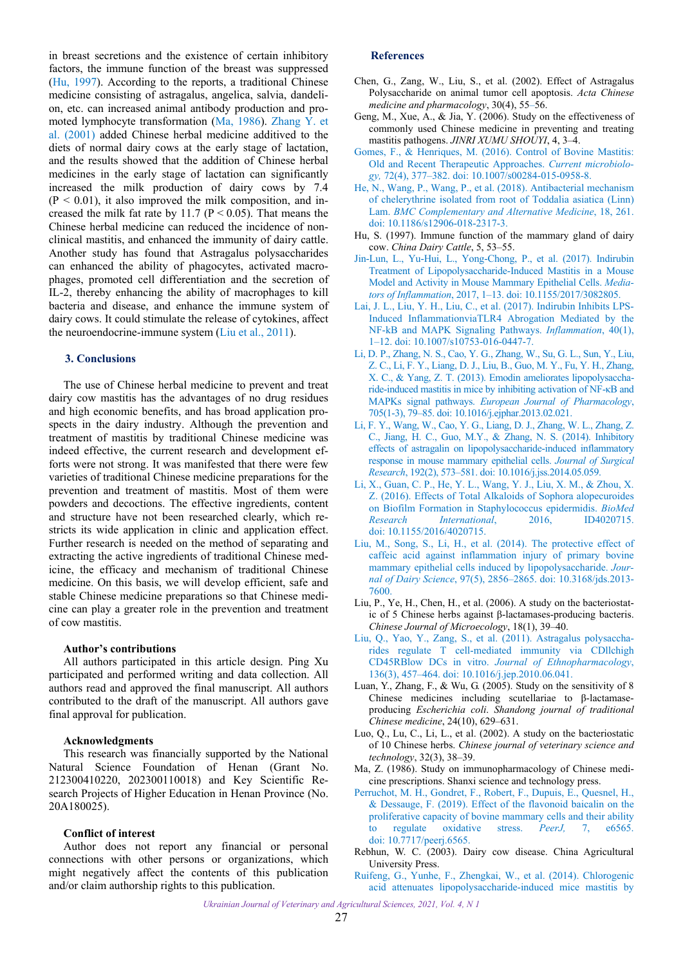<span id="page-3-0"></span>in breast secretions and the existence of certain inhibitory factors, the immune function of the breast was suppressed (Hu, 1997). According to the reports, a traditional Chinese medicine consisting of astragalus, angelica, salvia, dandelion, etc. can increased animal antibody production and promoted lymphocyte transformation (Ma, 1986). [Zhang Y. et](#page-4-0) [al. \(2001\)](#page-4-0) added Chinese herbal medicine additived to the diets of normal dairy cows at the early stage of lactation, and the results showed that the addition of Chinese herbal medicines in the early stage of lactation can significantly increased the milk production of dairy cows by 7.4  $(P < 0.01)$ , it also improved the milk composition, and increased the milk fat rate by 11.7 ( $P \le 0.05$ ). That means the Chinese herbal medicine can reduced the incidence of nonclinical mastitis, and enhanced the immunity of dairy cattle. Another study has found that Astragalus polysaccharides can enhanced the ability of phagocytes, activated macrophages, promoted cell differentiation and the secretion of IL-2, thereby enhancing the ability of macrophages to kill bacteria and disease, and enhance the immune system of dairy cows. It could stimulate the release of cytokines, affect the neuroendocrine-immune system (Liu et al., 2011).

#### **3. Conclusions**

The use of Chinese herbal medicine to prevent and treat dairy cow mastitis has the advantages of no drug residues and high economic benefits, and has broad application prospects in the dairy industry. Although the prevention and treatment of mastitis by traditional Chinese medicine was indeed effective, the current research and development efforts were not strong. It was manifested that there were few varieties of traditional Chinese medicine preparations for the prevention and treatment of mastitis. Most of them were powders and decoctions. The effective ingredients, content and structure have not been researched clearly, which restricts its wide application in clinic and application effect. Further research is needed on the method of separating and extracting the active ingredients of traditional Chinese medicine, the efficacy and mechanism of traditional Chinese medicine. On this basis, we will develop efficient, safe and stable Chinese medicine preparations so that Chinese medicine can play a greater role in the prevention and treatment of cow mastitis.

#### **Author's contributions**

All authors participated in this article design. Ping Xu participated and performed writing and data collection. All authors read and approved the final manuscript. All authors contributed to the draft of the manuscript. All authors gave final approval for publication.

#### **Acknowledgments**

This research was financially supported by the National Natural Science Foundation of Henan (Grant No. 212300410220, 202300110018) and Key Scientific Research Projects of Higher Education in Henan Province (No. 20A180025).

## **Conflict of interest**

Author does not report any financial or personal connections with other persons or organizations, which might negatively affect the contents of this publication and/or claim authorship rights to this publication.

#### **References**

- Chen, G., Zang, W., Liu, S., et al. (2002). Effect of Astragalus Polysaccharide on animal tumor cell apoptosis. *Acta Chinese medicine and pharmacology*, 30(4), 55–56.
- Geng, M., Xue, A., & Jia, Y. (2006). Study on the effectiveness of commonly used Chinese medicine in preventing and treating mastitis pathogens. *JINRI XUMU SHOUYI*, 4, 3–4.
- [Gomes, F., & Henriques, M. \(2016\). Control of Bovine Mastitis:](https://doi.org/10.1007/s00284-015-0958-8)  Old and Recent Therapeutic Approaches. *Current microbiology,* 72(4), 377–382. doi: 10.1007/s00284-015-0958-8.
- [He, N., Wang, P., Wang, P., et al. \(2018\). Antibacterial mechanism](https://doi.org/10.1186/s12906-018-2317-3)  of chelerythrine isolated from root of Toddalia asiatica (Linn) Lam. *BMC Complementary and Alternative Medicine*, 18, 261. doi: 10.1186/s12906-018-2317-3.
- Hu, S. (1997). Immune function of the mammary gland of dairy cow. *China Dairy Cattle*, 5, 53–55.
- [Jin-Lun, L., Yu-Hui, L., Yong-Chong, P., et al. \(2017\). Indirubin](https://doi.org/10.1155/2017/3082805)  Treatment of Lipopolysaccharide-Induced Mastitis in a Mouse Model and Activity in Mouse Mammary Epithelial Cells. *Mediators of Inflammation*, 2017, 1–13. doi: 10.1155/2017/3082805.
- [Lai, J. L., Liu, Y. H., Liu, C., et al. \(2017\). Indirubin Inhibits LPS-](https://doi.org/10.1007/s10753-016-0447-7)Induced InflammationviaTLR4 Abrogation Mediated by the NF-kB and MAPK Signaling Pathways. *Inflammation*, 40(1), 1–12. doi: 10.1007/s10753-016-0447-7.
- [Li, D. P., Zhang, N. S., Cao, Y. G., Zhang, W., Su, G. L., Sun, Y., Liu,](https://doi.org/10.1016/j.ejphar.2013.02.021)  Z. C., Li, F. Y., Liang, D. J., Liu, B., Guo, M. Y., Fu, Y. H., Zhang, X. C., & Yang, Z. T. (2013). Emodin ameliorates lipopolysaccharide-induced mastitis in mice by inhibiting activation of NF-κB and MAPKs signal pathways. *European Journal of Pharmacology*, 705(1-3), 79–85. doi: 10.1016/j.ejphar.2013.02.021.
- [Li, F. Y., Wang, W., Cao, Y. G., Liang, D. J., Zhang, W. L., Zhang, Z.](https://doi.org/10.1016/j.jss.2014.05.059)  C., Jiang, H. C., Guo, M.Y., & Zhang, N. S. (2014). Inhibitory effects of astragalin on lipopolysaccharide-induced inflammatory response in mouse mammary epithelial cells. *Journal of Surgical Research*, 192(2), 573–581. doi: 10.1016/j.jss.2014.05.059.
- [Li, X., Guan, C. P., He, Y. L., Wang, Y. J., Liu, X. M., & Zhou, X.](https://doi.org/10.1155/2016/4020715)  Z. (2016). Effects of Total Alkaloids of Sophora alopecuroides on Biofilm Formation in Staphylococcus epidermidis. *BioMed Research International*, 2016, ID4020715. doi: 10.1155/2016/4020715.
- [Liu, M., Song, S., Li, H., et al. \(2014\). The protective effect of](https://doi.org/10.3168/jds.2013-7600)  caffeic acid against inflammation injury of primary bovine mammary epithelial cells induced by lipopolysaccharide. *Journal of Dairy Science*, 97(5), 2856–2865. doi: 10.3168/jds.2013- 7600.
- Liu, P., Ye, H., Chen, H., et al. (2006). A study on the bacteriostatic of 5 Chinese herbs against β-lactamases-producing bacteris. *Chinese Journal of Microecology*, 18(1), 39–40.
- [Liu, Q., Yao, Y., Zang, S., et al. \(2011\). Astragalus polysaccha](https://doi.org/10.1016/j.jep.2010.06.041)rides regulate T cell-mediated immunity via CDllchigh CD45RBlow DCs in vitro. *Journal of Ethnopharmacology*, 136(3), 457–464. doi: 10.1016/j.jep.2010.06.041.
- Luan, Y., Zhang, F., & Wu, G. (2005). Study on the sensitivity of 8 Chinese medicines including scutellariae to β-lactamaseproducing *Escherichia coli*. *Shandong journal of traditional Chinese medicine*, 24(10), 629–631.
- Luo, Q., Lu, C., Li, L., et al. (2002). A study on the bacteriostatic of 10 Chinese herbs. *Chinese journal of veterinary science and technology*, 32(3), 38–39.
- Ma, Z. (1986). Study on immunopharmacology of Chinese medicine prescriptions. Shanxi science and technology press.
- [Perruchot, M. H., Gondret, F., Robert, F., Dupuis, E., Quesnel, H.,](https://doi.org/10.7717/peerj.6565)  & Dessauge, F. (2019). Effect of the flavonoid baicalin on the proliferative capacity of bovine mammary cells and their ability to regulate oxidative stress. *PeerJ,* 7, e6565. doi: 10.7717/peerj.6565.
- Rebhun, W. C. (2003). Dairy cow disease. China Agricultural University Press.
- [Ruifeng, G., Yunhe, F., Zhengkai, W., et al. \(2014\). Chlorogenic](https://doi.org/10.1016/j.ejphar.2014.01.015)  acid attenuates lipopolysaccharide-induced mice mastitis by